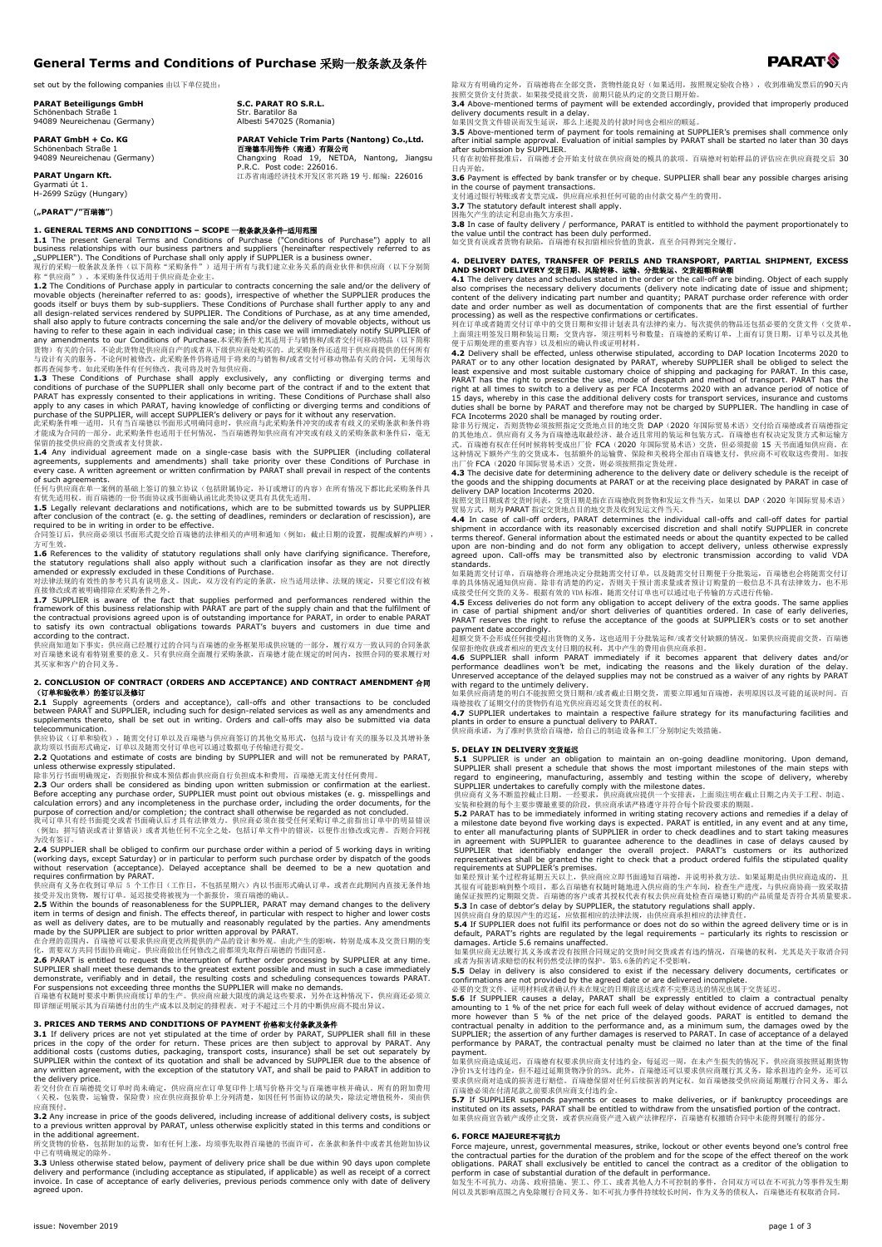# **General Terms and Conditions of Purchase** 采购一般条款及条件

set out by the following companies 由以下单位提出:

**PARAT Beteiligungs GmbH** Schönenbach Straße 1 94089 Neureichenau (Germany)

**PARAT GmbH + Co. KG** Schönenbach Straße 1 94089 Neureichenau (Germany)

**PARAT Ungarn Kft.** Gyarmati út 1. H-2699 Szügy (Hungary)

(**"PARAT"/"**百瑞德**"**)

**1. GENERAL TERMS AND CONDITIONS – SCOPE <del>- 放金</del> 数分<del> T</del><br>
A The present General Terms and Conditions of Purchase ("Conditions of Purchase") apply to all<br>
1. The present General Terms and Conditions of Purchase ("Conditions"** 

1.3 These Conditions of Purchase shall apply exclusively, any conflicting or diverging terms and<br>conditions of purchase of the SUPPLIER shall only become part of the contract if and to the extent that<br>PARAT has expressly

保留的接受供应商的交货或者支付货款。

**1.4** Any individual agreement made on a single-case basis with the SUPPLIER (including collateral<br>agreements, supplements and amendments) shall take priority over these Conditions of Purchase in<br>every case. A written agre of such agreements. 任何与供应商在单一案例的基础上签订的独立协议(包括附属协定,补订或增订的内容)在所有情况下都比此采购条件具

有优先适用权。而百瑞德的一份书面协议或书面确认函比此类协议更具有具优先适用。<br>**1.5** Legally relevant declarations and notifications, which are to be submitted towards us by SUPPLIER<br>after conclusion of the contract (e. g. the setting of deadlines, reminders or

方可生效。<br>**1.6** References to the validity of statutory regulations shall only have clarifying significance. Therefore,<br>the statutory regulations shall also apply without such a clarification insofar as they are not directly

amended or expressly excluded in these Conditions of Purchase.<br>对法律法规的有效性的参考只具有说明意义。因此,双方没有约定的条款,应当适用法律、法规的规定,只要它们没有被<br>直接修改或者被明确排除在采购条件之外。

**1.7** SUPPLIER is aware of the fact that supplies performed and performances rendered within the<br>framework of this business relationship with PARAT are part of the supply chain and that the fulfilment of<br>the contractual p

对百瑞德来说有着特别重要的意义。只有供应商全面履行采购条款,百瑞德才能在规定的时间内,按照合同的要求履行对 其买家和客户的合同义务。

2. CONCLUSION OF CONTRACT (ORDERS AND ACCEPTANCE) AND CONTRACT AMENDMENT 合同<br>
(订单和验收单) 的签订以登时 Universed and acceptance), call-offs and other transactions to be concluded<br>
between PARAT and SUPPLIER, including such for desi telecommunication.

terecommunication.<br>供应协议(订单和验收),随需交付订单以及百瑞德与供应商签订的其他交易形式,包括与设计有关的服务以及其增补条 款均须以书面形式确定,订单以及随需交付订单也可以通过数据电子传输进行提交。 **2.2** Quotations and estimate of costs are binding by SUPPLIER and will not be remunerated by PARAT,

unless otherwise expressly stipulated.<br>除非另行书面明确规定,否则挑价和成本预估都由供应商自行负担成本和费用,百瑞德无需支付任何费用。<br>2.3 Our orders shall be considered as binding upon written submission or confirmation at the earliest.<br>Before accepting any purchase o

purpose of correction and/or completion; the contract shall otherwise be regarded as not concluded.<br>我司订单只有经书面提交或者书面确认后才具有法律效力。供应商必须在接受任何采购订单之前指出订单中的明显错误<br>(例如: 拼写错误或者计算错误)或者其他任何不完全之处,包括订单文件中的错误,以便作出修改或完善。否则合同视

2.4 SUPPLIER shall be obliged to confirm our purchase order within a period of 5 working days in writing<br>(working days, except Saturday) or in particular to perform such purchase order by dispatch of the goods<br>without res

2.5 Within the bounds of reasonableness for the SUPPLIER, PARAT may demand changes to the delivery<br>as well as delivery dates, are to be mutually and reasonably regulated by the part of mighter and lower costs<br>as well as d

demonstrate, verifiably and in detail, the resulting costs and scheduling consequences towards PARAT.<br>For suspensions not exceeding three months the SUPPLIER will make no demands.<br>百瑞德有权随时要求中断供应商续订单的生产。供应商应泉大限的清足这些要求,另外在这种

# **3. PRICES AND TERMS AND CONDITIONS OF PAYMENT** 价格和支付条款及条件

**3.1** If delivery prices are not yet stipulated at the time of order by PARAT, SUPPLIER shall fill in these prices are only existed at the time of order to approval by PARAT. Any additional costs (customs duties, packaging

the delivery price.<br>若交付价在百瑞德提交订单时尚未确定, 供应商应在订单复印件上填写价格并交与百瑞德审核并确认。所有的附加费用<br>(关税, 包装费, 运输费, 保险费) 应在供应商报价单上分列清楚, 如因任何书面协议的缺失, 除法定增值税外, 须由供 应商预付。

**3.2** Any increase in price of the goods delivered, including increase of additional delivery costs, is subject<br>to a previous written approval by PARAT, unless otherwise explicitly stated in this terms and conditions or<br>i

中已有明确规定的除外。

**3.3** Unless otherwise stated below, payment of delivery price shall be due within 90 days upon complete<br>delivery and performance (including acceptance as stipulated, if applicable) as well as receipt of a correct<br>invoice. agreed upon.

除双方有明确约定外,百瑞德将在全部交货,货物性能良好(如果适用,按照规定验收合格),收到准确发票后的90天内<br>按照交货价支付货款。如果接受提前交货,前期只能从约定的交货日期开始。<br>**3.4** Above-mentioned terms of payment will be extended accordingly, provided that improperly produced

delivery documents result in a delay.<br>如果因交货文件错误而发生延误,那么上述提及的付款时间也会相应的顺延。<br>**3.5** Above-mentioned term of payment for tools remaining at SUPPLIER's premises shall commence only<br>after initial sample approval. Evaluation of in after submission by SUPPLIER.<br>只有在初始样批准后,百瑞德才会开始支付放在供应商处的模具的款项。百瑞德对初始样品的评估应在供应商提交后 30

日内开始。

**3.6** Payment is effected by bank transfer or by cheque. SUPPLIER shall bear any possible charges arising<br>in the course of payment transactions.<br>支付通过银行转账或者支票完成,供应商应承担任何可能的由付款交易产生的费用。

# 4**. DELIVERY DATES, TRANSFER OF PERILS AND TRANSPORT, PARTIAL SHIPMENT, EXCESS<br>AND SHORT DELIVERY 交货日期、风险转移、运输、分批装运、交货超额和缺额<br>4.1 The delivery dates and schedules stated in the order or the call-off are binding. Object of e**

content of the delivery indicating part number and quantity; PARAT purchase order reference with order<br>date and order number as well as documentation of components that are the first essential of further<br>processing) as we

the goods and the shipping documents at PARAT or at the receiving place designated by PARAT in case of<br>delivery DAP location Incoterms 2020.<br>按照交货日期或者交货时间表,交货日期是指在百瑞德收到货物和发运文件当天,如果以 DAP(2020 年国际贸易术语)<br>贸易方式,则为 PARAT 指定交货地点目的

terms thereof. General information about the estimated needs or about the quantity expected to be called<br>upon are non-binding and do not form any obligation to accept delivery, unless otherwise expressly<br>agreed upon. Call-

standards.<br>如果随需交付订单,百瑞德将合理地决定分批随需交付订单,以及随需交付日期便于分批装运,百瑞德也会将随需交付订

单的具体情况通知供应商。除非有清楚的约定,否则关于预计需求量或者预计订购量的一般信息不具有法律效力,也不形成接受任何交货的以外。根据有效的 VDA 标准,随需交付订单为提供了标准的方式进行传输。<br>成接受任何交货的义务。根据有效的 VDA 标准,随需交付订单也可以通过电子传输的方式进行传输。<br>**4.5** Excess deliveries do not form any obligation to accept delivery of th payment date accordingly.

超额交货不会形成任何接受超出货物的义务,这也适用于分批装运和/或者交付缺额的情况。如果供应商提前交货,百瑞德<br>保留拒绝收获或者相应的更改支付日期的权利,其中产生的费用由供应商承担。<br>**4.6** SUPPLIER shall inform PARAT immediately if it becomes apparent that delivery dates and/or

performance deadlines won't be met, indicating the reasons and the likely duration of the delay.<br>Unreserved acceptance of the delayed supplies may not be construed as a waiver of any rights by PARAT<br>with regard to the unt

**4.7** SUPPLIER undertakes to maintain a respective failure strategy for its manufacturing facilities and plants in order to ensure a punctual delivery to PARAT. 供应商承诺,为了准时供货给百瑞德,给自己的制造设备和工厂分别制定失效措施。

# **5. DELAY IN DELIVERY** 交货延迟

5.1 SUPPLIER is under an obligation to maintain an on-going deadline monitoring. Upon demand,<br>SUPPLIER shall present a schedule that shows the most important milestones of the main steps with<br>regard to engineering, manufa

5.2 PARAT has to be immediately informed in writing stating recovery actions and remedies if a delay of<br>a milestone date beyond five working days is expected. PARAT is entitled, in any event and at any time,<br>to enter all

施保证按照约定期限交货。 百瑞德的客户或者其授权代表有权去供应商处检查百瑞德订购的产品质量是否符合其质量要求。<br>5.3 In case of debtor's delay by SUPPLIER, the statutory requlations shall apply.<br>因供应商自身的原因产生的迟延,应依据相应的法律法规,由供应商承担相应的法律责任。<br>5.4 If SUPPLIER does not fulfil its perfor

**5.5** Delay in delivery is also considered to exist if the necessary delivery documents, certificates or confirmations are not provided by the agreed date or are delivered incomplete.<br>
必要的交货文件、证明材料或者确认件未在规定的目期选达或者不完整送达的情况

payment.<br>如果供应商造成延迟, 百瑞德有权要求供应商支付违约金, 每延迟一周, 在未产生损失的情况下, 供应商须按照延期货物<br>净价1%支付违约金,但不超过延期货物净价的5%。此外,百瑞德还可以要求供应商履行其义务,除承担违约金外, 还可以<br>百瑞德必须在付清尾款之前要求供应商支付违约金。

5.7 If SUPPLIER suspends payments or ceases to make deliveries, or if bankruptcy proceedings are<br>instituted on its assets, PARAT shall be entitled to withdraw from the unsatisfied portion of the contract.<br>如果供应商宣告破产或停止交货,或

### **6. FORCE MAJEURE**不可抗力

Force majeure, unrest, governmental measures, strike, lockout or other events beyond one's control free<br>the contractual parties for the duration of the problem and for the scope of the effect thereof on the work<br>obligatio

**S.C. PARAT RO S.R.L.** Str. Baratilor 8a Albesti 547025 (Romania)

**PARAT Vehicle Trim Parts (Nantong) Co.,Ltd.**

**百瑞德车用饰件(南通)有限公司**<br>Changxing Road 19**, NETDA, Nantong, Jiangsu**<br>P.R.C. Post code: 226016.<br>江苏省南通经济技术开发区常兴路 19 号.邮编: 226016

**3.7** The statutory default interest shall apply.<br>因拖欠产生的法定利息由拖欠方承且。<br>**3.8** In case of faulty delivery / performance, PARAT is entitled to withhold the payment proportionately to the value until the contract has been duly performed. 如交货有误或者货物有缺陷,百瑞德有权扣留相应价值的货款,直至合同得到完全履行。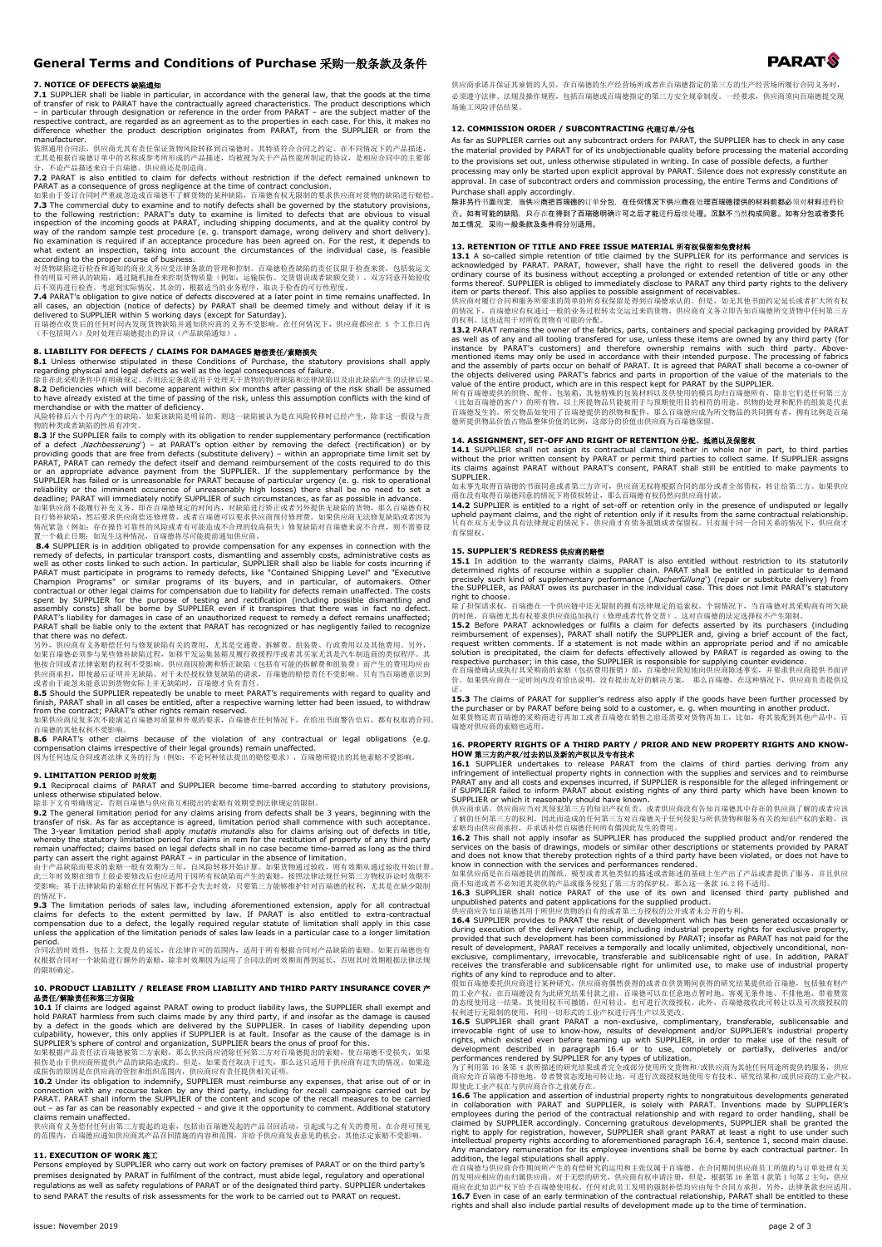# **General Terms and Conditions of Purchase** 采购一般条款及条件

**7. NOTICE OF DEFECTS 缺陷通知**<br>**CALCE OF DEFECTS 缺陷通知**<br>of transfer of risal the liable in particular, in accordance with the general law, that the goods at the time<br>of transfer of risk to PARAT have the contractually agreed manufacturer.

依照通用合同法, 供应商尤其有责任保证货物风险转移到百瑞德时, 其特质符合合同之约定。在不同情况下的产品描述,<br>尤其是根据百瑞德订单中的名称或参考所形成的产品描述, 均被视为关于产品性能所制定的协议, 是相应合同中的主要部<br>分, 不论产品描述来自于百瑞德、供应商还是制造商。

7.2 PARAT is also entitled to claim for defects without restriction if the defect remained unknown to<br>PARAT is also entitled to claim for defects without restriction if the defect remained unknown to<br>如果由于签订合同时严重就忽造成百瑞德不了解

7.4 PARAT's obligation to give notice of defects discovered at a later point in time remains unaffected. In<br>all cases, an objection (notice of defects) by PARAT shall be deemed timely and without delay if it is<br>delivered

**8. LIABILITY FOR DEFECTS / CLAIMS FOR DAMAGES 赔偿责任/索赔损失**<br>**8.1** Unless otherwise stipulated in these Conditions of Purchase, the statutory provisions shall apply<br>regarding physical and legal defects as well as the legal c

除非在此采购条件中有明确规定,否则法定条款适用于处理关于货物的物理缺陷和法律缺陷以及由此缺陷产生的法律后果。<br>8.2 Deficiencies which will become apparent within six months after passing of the risk shall be assumed<br>to have already existed at the time of passing of the risk, u

**8.3** If the SUPPLIER fails to comply with its obligation to render supplementary performance (rectification) or by<br>
of a defect ,*Nachbesserung*) – at PARAT's option either by removing the defect (rectification) or by<br>
p

情况紧急(例如: 存在操作可靠性的风险或者有可能造成不合理的较高损失)修复缺陷对百瑞德来说不合理,则不需要设<br>置一个截止日期; 如发生这种情况,百瑞德将尽可能提前通知供应商。

**8.4** SUPPLIER is in addition obligated to provide compensation for any expenses in connection with the readers of energy of defects, in particular transport costs, dismantling and assembly costs, administrative costs as

如果百瑞德必须参与某些修补缺陷过程,如移平发运集装箱及履行救援程序或者其买家尤其是汽车制造商的类似程序。其<br>他按合同或者法律索赔的权利不受影响。供应商因检测和矫正缺陷(包括有可能的拆解费和组装费)而产生的费用均应由<br>供应商承担,即使最后证明并无缺陷,方瑞德与权的责任。<br>或者由于疏忽未能意识到货物实际上并无缺陷的,百瑞德才负有责任。

8.5 Should the SUPPLIER repeatedly be unable to meet PARAT's requirements with regard to quality and<br>finish, PARAT shall in all cases be entitled, after a respective warning letter had been issued, to withdraw<br>from the co

百瑞德的其他权利不受影响。<br>**8.6** PARAT's other claims because of the violation of any contractual or legal obligations (e.g.<br>compensation claims irrespective of their legal grounds) remain unaffected.<br>因为任何违反合同或者法律义务的行为(例如:不论何种依法提出的赔偿要

### **9. LIMITATION PERIOD** 时效期

**9.1** Reciprocal claims of PARAT and SUPPLIER become time-barred according to statutory provisions, unless otherwise stipulated below. 除非下文有明确规定,否则百瑞德与供应商互相提出的索赔有效期受到法律规定的限制。

9.2 The general limitation period for any claims arising from defects shall be 3 years, beginning with the transfer of risk. As far as acceptance is agreed, limitation period shall commence with such a The 3-year limitati

的情况下。

**9.3** The limitation periods of sales law, including aforementioned extension, apply for all contractual claims for defects to the extent permitted by law. If PARAT is also entitled to extra-contractual compensation for th

period. 合同法的时效性,包括上文提及的延长,在法律许可的范围内,适用于所有根据合同对产品缺陷的索赔。如果百瑞德也有 权根据合同对一个缺陷进行额外的索赔,除非时效期因为运用了合同法的时效期而得到延长,否则其时效期根据法律法规 的限制确定。

# **10. PRODUCT LIABILITY / RELEASE FROM LIABILITY AND THIRD PARTY INSURANCE COVER** 产 品责任/解除责任和第三方保险

10.1 If claims are lodged against PARAT wing to produt liability laws, the SUPPLIER shall exempt and the scased by a defect in the goods which are delivered by the SUPPLIER. In cases of liability depending upon a defect i

# **11. EXECUTION OF WORK** 施工

Persons employed by SUPPLIER who carry out work on factory premises of PARAT or on the third party's premises designated by PARAT in fulfilment of the contract, must abide legal, regulatory and operational<br>regulations as well as safety regulations of PARAT or of the designated third party. SUPPLIER undertakes to send PARAT the results of risk assessments for the work to be carried out to PARAT on request.

供应商承诺并保证其雇佣的人员,在百瑞德的生产经营场所或者在百瑞德指定的第三方的生产经营场所履行合同义务时, 必须遵守法律、法规及操作规程,包括百瑞德或百瑞德指定的第三方安全规章制度。一经要求,供应商须向百瑞德提交现 场施工风险评估结果。

# 12. COMMISSION ORDER / SUBCONTRACTING 代理订单/分包

As far as SUPPLIER carries out any subcontract orders for PARAT, the SUPPLIER has to check in any case the material provided by PARAT for of its unobjectionable quality before processing the material according to the provisions set out, unless otherwise stipulated in writing. In case of possible defects, a further processing may only be started upon explicit approval by PARAT. Silence does not expressly constitute an

approval. In case of subcontract orders and commission processing, the entire Terms and Conditions of Purchase shall apply accordingly.

除非另行书面规定,当供应商把百瑞德的订单分包,在任何情况下供应商在处理百瑞德提供的材料前都必须对材料进行检 查。如有可能的缺陷,只存在在得到了百瑞德明确许可之后才能进行后续处理。沉默不当然构成同意。如有分包或者委托 加工情况,采购一般条款及条件将分别适用。

### **13. RETENTION OF TITLE AND FREE ISSUE MATERIAL** 所有权保留和免费材料

13.1 A so-called simple retention of title claimed by the SUPPLIER for its performance and services is<br>acknowledged by PARAT. PARAT, however, shall have the right to resell the delivered goods in the<br>ordinary course of its

item or parts thereof. This also applies to possible assignment of receivables.<br>供应商对履行合同和服务所要求的简单的所有权保留是得到百瑞德承认的。但是,如无其他书面约定延长或者扩大所有权<br>的核况下,百瑞德应有权通过一般的业务过程转卖交运过来的货物。供应商有义务立即告知百瑞德所交货物中任何第三方<br>的权利。这也适用于对所收货物有可能的分配。

13.2 PARAT remains the owner of the fabrics, parts, containers and special packaging provided by PARAT<br>as well as of any and all tooling transfered for use, unless these items are owned by any third party (for<br>instance b

德所提供物品价值占物品整体价值的比例,这部分的价值由供应商为百瑞德保留。

**14. ASSIGNMENT, SET-OFF AND RIGHT OF RETENTION 分配、抵消以及保留权**<br>**14.1** SUPPLIER shall not assign its contractual claims, neither in whole nor in part, to third parties<br>without the prior written consent by PARAT or permit thir

SUPPLIER.<br>如未事先取得百瑞德向书面同意或者第三方许可,供应商无权将根据合同的部分或者全部债权,转让给第三方。如果供应<br>商在没有取得百瑞德同意的情况下将债权转让,那么百瑞德有权仍然向供应商付款。

14.2 SUPPLIER is entitled to a right of set-off or retention only in the presence of undisputed or legally<br>upheld payment claims, and the right of retention only if it results from the same contractual relationship.<br>只有在双方

**15. SUPPLIER'S REDRESS 供应商的赔偿**<br>**15.1 I**n addition to the warranty claims, PARAT is also entitled without restriction to its statutorily<br>determined rights of recourse within a supplier chain. PARAT shall be entitled in pa

right to choose.<br>前时 to choose.<br>前时候,百瑞德尤其有权要求供应商追加执行(修理或者代替交货)。这对百瑞德的法定选择权不产生限制。<br>除了担保请求权,百瑞德尤其有权要求供应商追加执行(修理或者代替交货)。这对百瑞德的法定选择权不产生限制。<br>film for defects asserted by its purchasers (including<br>reimbursement of expenses), PARAT

价。如果供应商在一定时间内没有给出说明,没有提出友好的解决方案, 那么百瑞德,在这种情况下,供应商负责提供反

证。<br>**15.3** The claims of PARAT for supplier's redress also apply if the goods have been further processed by<br>the purchaser or by PARAT before being sold to a customer, e. g. when mounting in another product.<br>如果货物还需百瑞德的采购商进 端条员协定而旨,福德的承兑

**16. PROPERTY RIGHTS OF A THIRD PARTY / PRIOR AND NEW PROPERTY RIGHTS AND KNOW-<br>HOW SEE THE UNIVERSIMAL STATE AND A THIRD AND THE USE OF THE SET ON THE SET OF THE RELEASE OF THE RELEASE OF T<br>16.1 SUPPLIER undertakes to rel** 

SUPPLIER or which it reasonably should have known.<br>供应商承诺,供应商应当对其侵犯第三方的知识产权负责,或者供应商没有告知百瑞德其中存在的供应商了解的或者应该<br>了解的任何第三方的权利,因此而造成的任何第三方对百瑞德关于任何侵犯与所供货物和服务有关的知识产权的索赔,该

**16.2** This shall not apply insofar as SUPPLIER has produced the supplied product and/or rendered the services on the basis of drawings, models or similar other descriptions or statements provided by PARAT and does not kn

**16.4** SUPPLIER provides to PARAT the result of development which has been generated occasionally or<br>during execution of the delivery relationship, including industrial property rights for exclusive property,<br>provided that

rights of any kind to reproduce and to alter.<br>假如百瑞德委托供应商进行某种研究,供应商将偶然获得的或者在供货期间获得的研究结果提供给百瑞德,包括独有财产<br>的工业产权:在百瑞德没有为此研究结果付款之前,百瑞德可以在任意地点暂时地、客观无条件地、不排他地、带着赞赏<br>的态度使用这一种的使用,利用一切形式的工业产权进行再生产以及更改。<br>权利进行无限制的使用,利用一切形式的工业产权进行再生产以及更改。

**16.5 SUPPLIER shall grant PARAT a non-exclusive, complimentary, transferable, sublicensable and inservocable right of use to know-how, results of development and/or SUPPLIER's industrial property rights, which existed ev** 

即使此工业产权在与供应商合作之前就存在。<br>16.6 The application and assertion of industrial property rights to nongratuitous developments generated

**16.6 The application and assertion of industrial property rights to nongratuitous developments generated in collaboration with PARAT and SUPPLIER, is solely with PARAT. Inventions made by SUPPLIER's employees during the** 

商应在此知识产权下给予百瑞德使用权。任何对此员工发明的强制补偿均应由每个合同方承担。另外,法律条款也应适用。<br>**16.7** Even in case of an early termination of the contractual relationship, PARAT shall be entitled to these<br>rights and shall also include partial results of develop